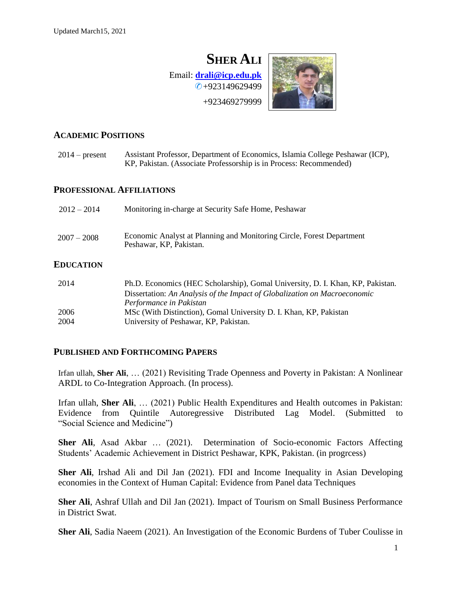# **SHER ALI** Email: **[drali@icp.edu.pk](mailto:drali@icp.edu.pk)** ✆+923149629499 +923469279999

# **ACADEMIC POSITIONS**

| $2014$ – present | Assistant Professor, Department of Economics, Islamia College Peshawar (ICP),<br>KP, Pakistan. (Associate Professorship is in Process: Recommended)                                    |  |
|------------------|----------------------------------------------------------------------------------------------------------------------------------------------------------------------------------------|--|
|                  | <b>PROFESSIONAL AFFILIATIONS</b>                                                                                                                                                       |  |
| $2012 - 2014$    | Monitoring in-charge at Security Safe Home, Peshawar                                                                                                                                   |  |
| $2007 - 2008$    | Economic Analyst at Planning and Monitoring Circle, Forest Department<br>Peshawar, KP, Pakistan.                                                                                       |  |
| EDUCATION        |                                                                                                                                                                                        |  |
| 2014             | Ph.D. Economics (HEC Scholarship), Gomal University, D. I. Khan, KP, Pakistan.<br>Dissertation: An Analysis of the Impact of Globalization on Macroeconomic<br>Performance in Pakistan |  |
| 2006             | MSc (With Distinction), Gomal University D. I. Khan, KP, Pakistan                                                                                                                      |  |
| 2004             | University of Peshawar, KP, Pakistan.                                                                                                                                                  |  |

## **PUBLISHED AND FORTHCOMING PAPERS**

Irfan ullah, **Sher Ali**, … (2021) Revisiting Trade Openness and Poverty in Pakistan: A Nonlinear ARDL to Co-Integration Approach. (In process).

Irfan ullah, **Sher Ali**, … (2021) Public Health Expenditures and Health outcomes in Pakistan: Evidence from Quintile Autoregressive Distributed Lag Model. (Submitted to "Social Science and Medicine")

**Sher Ali**, Asad Akbar … (2021). Determination of Socio-economic Factors Affecting Students' Academic Achievement in District Peshawar, KPK, Pakistan. (in progrcess)

**Sher Ali**, Irshad Ali and Dil Jan (2021). FDI and Income Inequality in Asian Developing economies in the Context of Human Capital: Evidence from Panel data Techniques

**Sher Ali**, Ashraf Ullah and Dil Jan (2021). Impact of Tourism on Small Business Performance in District Swat.

**Sher Ali**, Sadia Naeem (2021). An Investigation of the Economic Burdens of Tuber Coulisse in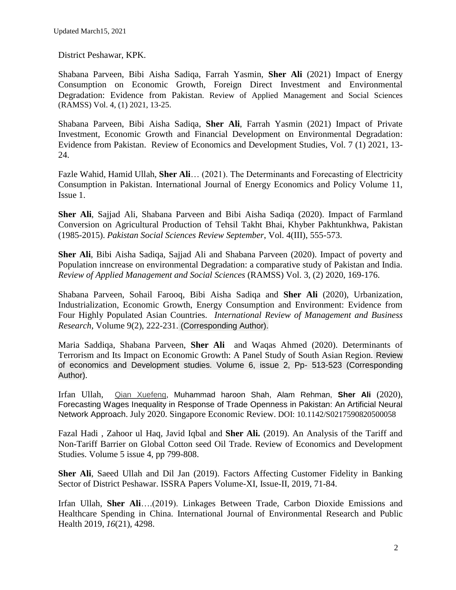District Peshawar, KPK.

Shabana Parveen, Bibi Aisha Sadiqa, Farrah Yasmin, **Sher Ali** (2021) Impact of Energy Consumption on Economic Growth, Foreign Direct Investment and Environmental Degradation: Evidence from Pakistan. Review of Applied Management and Social Sciences (RAMSS) Vol. 4, (1) 2021, 13-25.

Shabana Parveen, Bibi Aisha Sadiqa, **Sher Ali**, Farrah Yasmin (2021) Impact of Private Investment, Economic Growth and Financial Development on Environmental Degradation: Evidence from Pakistan. Review of Economics and Development Studies, Vol. 7 (1) 2021, 13- 24.

Fazle Wahid, Hamid Ullah, **Sher Ali**… (2021). The Determinants and Forecasting of Electricity Consumption in Pakistan. International Journal of Energy Economics and Policy Volume 11, Issue 1.

**Sher Ali**, Sajjad Ali, Shabana Parveen and Bibi Aisha Sadiqa (2020). Impact of Farmland Conversion on Agricultural Production of Tehsil Takht Bhai, Khyber Pakhtunkhwa, Pakistan (1985-2015). *Pakistan Social Sciences Review September*, Vol. 4(III), 555-573.

**Sher Ali**, Bibi Aisha Sadiqa, Sajjad Ali and Shabana Parveen (2020). Impact of poverty and Population inncrease on environmental Degradation: a comparative study of Pakistan and India. *Review of Applied Management and Social Sciences* (RAMSS) Vol. 3, (2) 2020, 169-176.

Shabana Parveen, Sohail Farooq, Bibi Aisha Sadiqa and **Sher Ali** (2020), Urbanization, Industrialization, Economic Growth, Energy Consumption and Environment: Evidence from Four Highly Populated Asian Countries. *International Review of Management and Business Research*, Volume 9(2), 222-231. (Corresponding Author).

Maria Saddiqa, Shabana Parveen, **Sher Ali** and Waqas Ahmed (2020). Determinants of Terrorism and Its Impact on Economic Growth: A Panel Study of South Asian Region. Review of economics and Development studies. Volume 6, issue 2, Pp- 513-523 (Corresponding Author).

Irfan Ullah, [Qian Xuefeng,](https://www.worldscientific.com/doi/abs/10.1142/S0217590820500058) Muhammad haroon Shah, Alam Rehman, **Sher Ali** (2020), Forecasting Wages Inequality in Response of Trade Openness in Pakistan: An Artificial Neural Network Approach. July 2020. Singapore Economic Review. DOI: 10.1142/S0217590820500058

Fazal Hadi , Zahoor ul Haq, Javid Iqbal and **Sher Ali.** (2019). An Analysis of the Tariff and Non-Tariff Barrier on Global Cotton seed Oil Trade. Review of Economics and Development Studies. Volume 5 issue 4, pp 799-808.

**Sher Ali**, Saeed Ullah and Dil Jan (2019). Factors Affecting Customer Fidelity in Banking Sector of District Peshawar. ISSRA Papers Volume-XI, Issue-II, 2019, 71-84.

Irfan Ullah, **Sher Ali**….(2019). Linkages Between Trade, Carbon Dioxide Emissions and Healthcare Spending in China. International Journal of Environmental Research and Public Health 2019, *16*(21), 4298.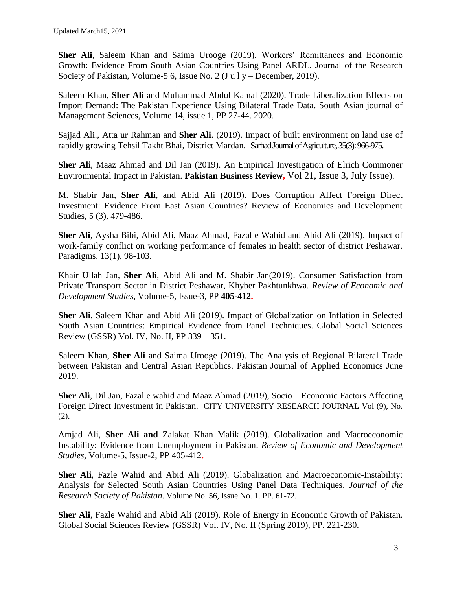**Sher Ali**, Saleem Khan and Saima Urooge (2019). Workers' Remittances and Economic Growth: Evidence From South Asian Countries Using Panel ARDL. Journal of the Research Society of Pakistan, Volume-5 6, Issue No. 2 (J u l y – December, 2019).

Saleem Khan, **Sher Ali** and Muhammad Abdul Kamal (2020). Trade Liberalization Effects on Import Demand: The Pakistan Experience Using Bilateral Trade Data. South Asian journal of Management Sciences, Volume 14, issue 1, PP 27-44. 2020.

Sajjad Ali., Atta ur Rahman and **Sher Ali**. (2019). Impact of built environment on land use of rapidly growing Tehsil Takht Bhai, District Mardan. Sarhad Journal of Agriculture, 35(3): 966-975.

**Sher Ali**, Maaz Ahmad and Dil Jan (2019). An Empirical Investigation of Elrich Commoner Environmental Impact in Pakistan. **Pakistan Business Review,** Vol 21, Issue 3, July Issue).

M. Shabir Jan, **Sher Ali**, and Abid Ali (2019). Does Corruption Affect Foreign Direct Investment: Evidence From East Asian Countries? Review of Economics and Development Studies, 5 (3), 479-486.

**Sher Ali**, Aysha Bibi, Abid Ali, Maaz Ahmad, Fazal e Wahid and Abid Ali (2019). Impact of work-family conflict on working performance of females in health sector of district Peshawar. Paradigms, 13(1), 98-103.

Khair Ullah Jan, **Sher Ali**, Abid Ali and M. Shabir Jan(2019). Consumer Satisfaction from Private Transport Sector in District Peshawar, Khyber Pakhtunkhwa. *Review of Economic and Development Studies*, Volume-5, Issue-3, PP **405-412.**

**Sher Ali**, Saleem Khan and Abid Ali (2019). Impact of Globalization on Inflation in Selected South Asian Countries: Empirical Evidence from Panel Techniques. Global Social Sciences Review (GSSR) Vol. IV, No. II, PP 339 – 351.

Saleem Khan, **Sher Ali** and Saima Urooge (2019). The Analysis of Regional Bilateral Trade between Pakistan and Central Asian Republics. Pakistan Journal of Applied Economics June 2019.

**Sher Ali**, Dil Jan, Fazal e wahid and Maaz Ahmad (2019), Socio – Economic Factors Affecting Foreign Direct Investment in Pakistan. CITY UNIVERSITY RESEARCH JOURNAL Vol (9), No. (2).

Amjad Ali, **Sher Ali and** Zalakat Khan Malik (2019). Globalization and Macroeconomic Instability: Evidence from Unemployment in Pakistan. *Review of Economic and Development Studies*, Volume-5, Issue-2, PP 405-412**.**

**Sher Ali**, Fazle Wahid and Abid Ali (2019). Globalization and Macroeconomic-Instability: Analysis for Selected South Asian Countries Using Panel Data Techniques. *Journal of the Research Society of Pakistan*. Volume No. 56, Issue No. 1. PP. 61-72.

**Sher Ali**, Fazle Wahid and Abid Ali (2019). Role of Energy in Economic Growth of Pakistan. Global Social Sciences Review (GSSR) Vol. IV, No. II (Spring 2019), PP. 221-230.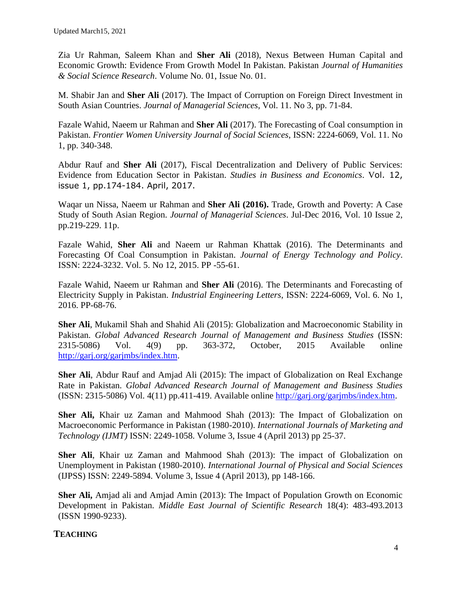Zia Ur Rahman, Saleem Khan and **Sher Ali** (2018), Nexus Between Human Capital and Economic Growth: Evidence From Growth Model In Pakistan. Pakistan *Journal of Humanities & Social Science Research*. Volume No. 01, Issue No. 01.

M. Shabir Jan and **Sher Ali** (2017). The Impact of Corruption on Foreign Direct Investment in South Asian Countries. *Journal of Managerial Sciences*, Vol. 11. No 3, pp. 71-84.

Fazale Wahid, Naeem ur Rahman and **Sher Ali** (2017). The Forecasting of Coal consumption in Pakistan. *Frontier Women University Journal of Social Sciences*, ISSN: 2224-6069, Vol. 11. No 1, pp. 340-348.

Abdur Rauf and **Sher Ali** (2017), Fiscal Decentralization and Delivery of Public Services: Evidence from Education Sector in Pakistan. *Studies in Business and Economics*. Vol. 12, issue 1, pp.174-184. April, 2017.

Waqar un Nissa, Naeem ur Rahman and **Sher Ali (2016).** Trade, Growth and Poverty: A Case Study of South Asian Region. *Journal of Managerial Sciences*. Jul-Dec 2016, Vol. 10 Issue 2, pp.219-229. 11p.

Fazale Wahid, **Sher Ali** and Naeem ur Rahman Khattak (2016). The Determinants and Forecasting Of Coal Consumption in Pakistan. *Journal of Energy Technology and Policy*. ISSN: 2224-3232. Vol. 5. No 12, 2015. PP -55-61.

Fazale Wahid, Naeem ur Rahman and **Sher Ali** (2016). The Determinants and Forecasting of Electricity Supply in Pakistan. *Industrial Engineering Letters*, ISSN: 2224-6069, Vol. 6. No 1, 2016. PP-68-76.

**Sher Ali**, Mukamil Shah and Shahid Ali (2015): Globalization and Macroeconomic Stability in Pakistan. *Global Advanced Research Journal of Management and Business Studies* (ISSN: 2315-5086) Vol. 4(9) pp. 363-372, October, 2015 Available online [http://garj.org/garjmbs/index.htm.](http://garj.org/garjmbs/index.htm)

**Sher Ali**, Abdur Rauf and Amjad Ali (2015): The impact of Globalization on Real Exchange Rate in Pakistan. *Global Advanced Research Journal of Management and Business Studies* (ISSN: 2315-5086) Vol. 4(11) pp.411-419. Available online [http://garj.org/garjmbs/index.htm.](http://garj.org/garjmbs/index.htm)

**Sher Ali,** Khair uz Zaman and Mahmood Shah (2013): The Impact of Globalization on Macroeconomic Performance in Pakistan (1980-2010). *International Journals of Marketing and Technology (IJMT)* ISSN: 2249-1058. Volume 3, Issue 4 (April 2013) pp 25-37.

**Sher Ali**, Khair uz Zaman and Mahmood Shah (2013): The impact of Globalization on Unemployment in Pakistan (1980-2010). *International Journal of Physical and Social Sciences* (IJPSS) ISSN: 2249-5894. Volume 3, Issue 4 (April 2013), pp 148-166.

**Sher Ali,** Amjad ali and Amjad Amin (2013): The Impact of Population Growth on Economic Development in Pakistan. *Middle East Journal of Scientific Research* 18(4): 483-493.2013 (ISSN 1990-9233).

# **TEACHING**